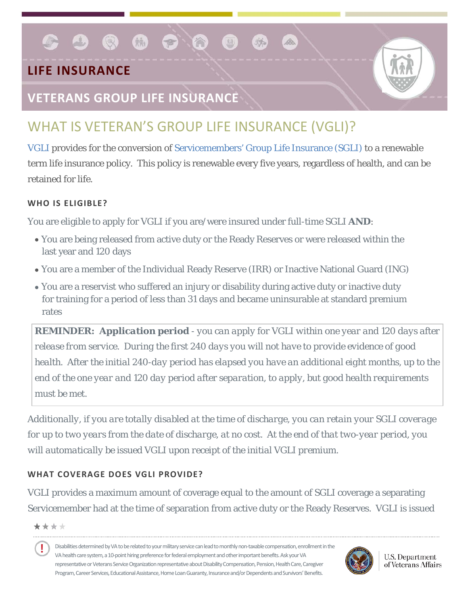## **LIFE INSURANCE**

### **VETERANS GROUP LIFE INSURANCE**

 $\bullet$   $\bullet$   $\bullet$ 

# WHAT IS VETERAN'S GROUP LIFE INSURANCE (VGLI)?

S A

[VGLI](http://www.benefits.va.gov/insurance/vgli.asp) provides for the conversion of [Servicemembers' Group Life Insurance \(SGLI\)](http://www.benefits.va.gov/insurance/sgli.asp) to a renewable term life insurance policy. This policy is renewable every five years, regardless of health, and can be retained for life.

#### **WHO IS ELIGIBLE?**

You are eligible to apply for VGLI if you are/were insured under full-time SGLI *AND*:

- You are being released from active duty or the Ready Reserves or were released within the last year and 120 days
- You are a member of the Individual Ready Reserve (IRR) or Inactive National Guard (ING)
- You are a reservist who suffered an injury or disability during active duty or inactive duty for training for a period of less than 31 days and became uninsurable at standard premium rates

*REMINDER: Application period - you can apply for VGLI within one year and 120 days after release from service. During the first 240 days you will not have to provide evidence of good health. After the initial 240-day period has elapsed you have an additional eight months, up to the end of the one year and 120 day period after separation, to apply, but good health requirements must be met.*

*Additionally, if you are totally disabled at the time of discharge, you can retain your SGLI coverage for up to two years from the date of discharge, at no cost. At the end of that two-year period, you will automatically be issued VGLI upon receipt of the initial VGLI premium.*

#### **WHAT COVERAGE DOES VGLI PROVIDE?**

VGLI provides a maximum amount of coverage equal to the amount of SGLI coverage a separating Servicemember had at the time of separation from active duty or the Ready Reserves. VGLI is issued

\*\*\*\*

Ţ Disabilities determined by VA to be related to your military service can lead to monthly non-taxable compensation, enrollment in the VA health care system, a 10-point hiring preference for federal employment and other important benefits. Ask your VA representative or Veterans Service Organization representative about Disability Compensation, Pension, Health Care, Caregiver Program, Career Services, Educational Assistance, Home Loan Guaranty, Insurance and/or Dependents and Survivors' Benefits.



**U.S. Department** of Veterans Affairs